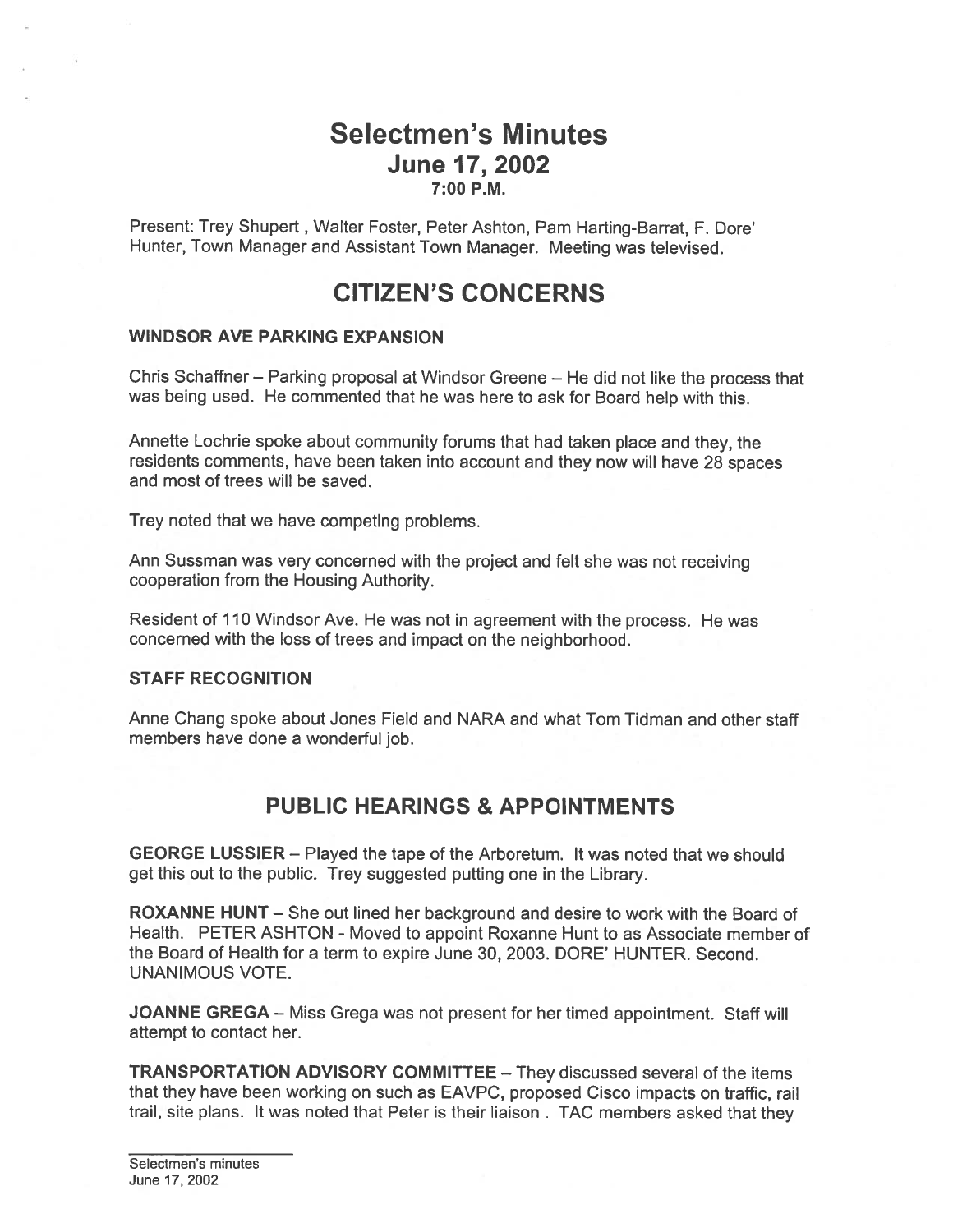# Selectmen's Minutes June 17, 2002 7:00 P.M.

Present: Trey Shupert, Walter Foster, Peter Ashton, Pam Harting-Barrat, F. Dore' Hunter, Town Manager and Assistant Town Manager. Meeting was televised.

# CITIZEN'S CONCERNS

#### WINDSOR AVE PARKING EXPANSION

Chris Schaffner — Parking proposa<sup>l</sup> at Windsor Greene — He did not like the process that was being used. He commented that he was here to ask for Board help with this.

Annette Lochrie spoke about community forums that had taken <sup>p</sup>lace and they, the residents comments, have been taken into account and they now will have <sup>28</sup> spaces and most of trees will be saved.

Trey noted that we have competing problems.

Ann Sussman was very concerned with the project and felt she was not receiving cooperation from the Housing Authority.

Resident of <sup>110</sup> Windsor Ave. He was not in agreemen<sup>t</sup> with the process. He was concerned with the loss of trees and impact on the neighborhood.

#### STAFF RECOGNITION

Anne Chang spoke about Jones Field and NARA and what Tom Tidman and other staff members have done <sup>a</sup> wonderful job.

# PUBLIC HEARINGS & APPOINTMENTS

GEORGE LUSSIER — Played the tape of the Arboretum. It was noted that we should ge<sup>t</sup> this out to the public. Trey suggested putting one in the Library.

ROXANNE HUNT — She out lined her background and desire to work with the Board of Health. PETER ASHTON - Moved to appoint Roxanne Hunt to as Associate member of the Board of Health for <sup>a</sup> term to expire June 30, 2003. DORE' HUNTER. Second. UNANIMOUS VOTE.

JOANNE GREGA - Miss Grega was not present for her timed appointment. Staff will attempt to contact her.

TRANSPORTATION ADVISORY COMMITTEE — They discussed several of the items that they have been working on such as EAVPC, proposed Cisco impacts on traffic, rail trail, site <sup>p</sup>lans. It was noted that Peter is their liaison . TAC members asked that they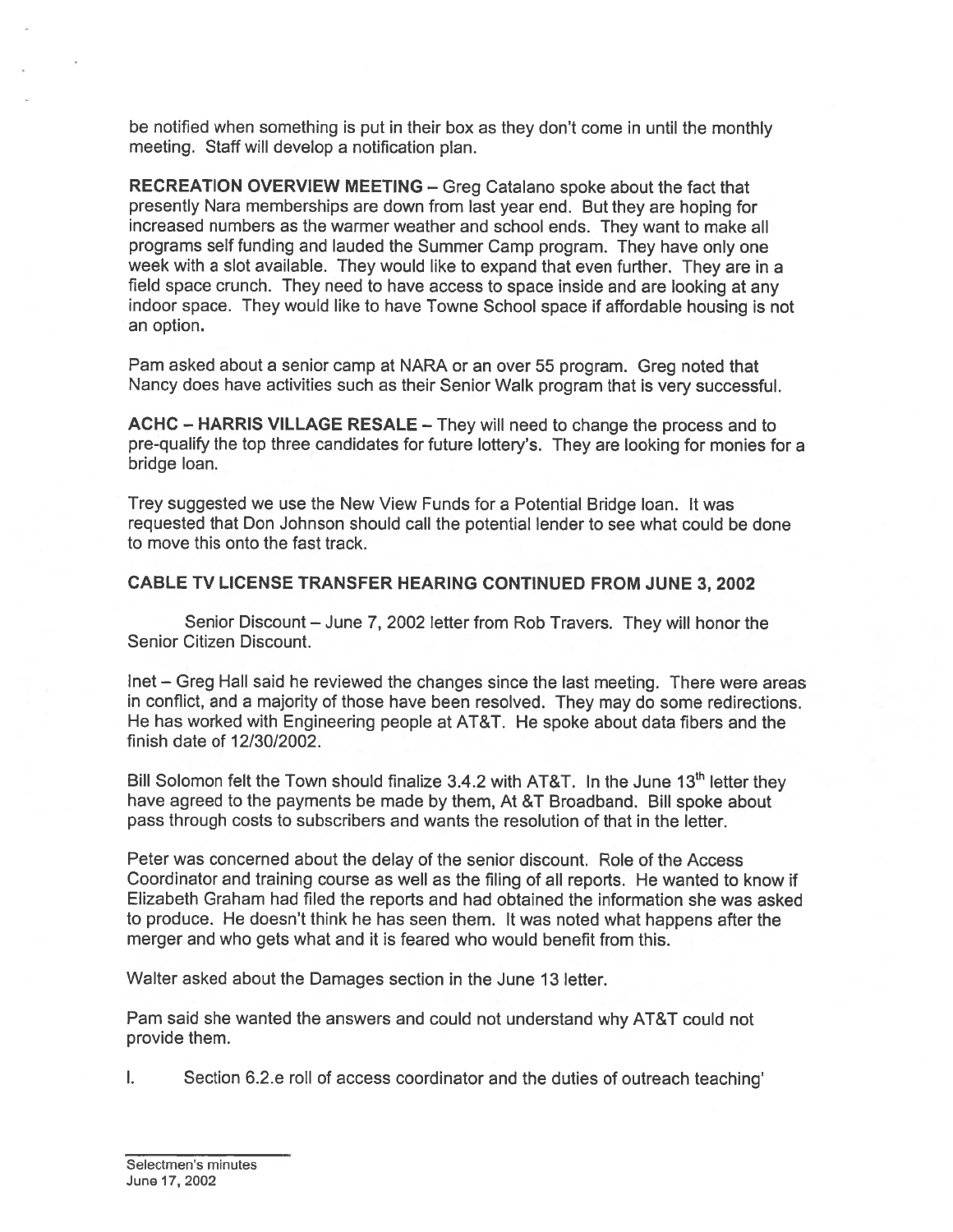be notified when something is pu<sup>t</sup> in their box as they don't come in until the monthly meeting. Staff will develop <sup>a</sup> notification plan.

RECREATION OVERVIEW MEETING — Greg Catalano spoke about the fact that presently Nara memberships are down from last year end. But they are hoping for increased numbers as the warmer weather and school ends. They want to make all programs self funding and lauded the Summer Camp program. They have only one week with <sup>a</sup> slot available. They would like to expand that even further. They are in <sup>a</sup> field space crunch. They need to have access to space inside and are looking at any indoor space. They would like to have Towne School space if affordable housing is not an option.

Pam asked about <sup>a</sup> senior camp at NARA or an over 55 program. Greg noted that Nancy does have activities such as their Senior Walk program that is very successful.

ACHC — HARRIS VILLAGE RESALE — They will need to change the process and to pre-qualify the top three candidates for future lottery's. They are looking for monies for <sup>a</sup> bridge loan.

Trey suggested we use the New View Funds for <sup>a</sup> Potential Bridge loan. It was requested that Don Johnson should call the potential lender to see what could be done to move this onto the fast track.

### CABLE TV LICENSE TRANSFER HEARING CONTINUED FROM JUNE 3, 2002

Senior Discount — June 7, 2002 letter from Rob Travers. They will honor the Senior Citizen Discount.

Inet — Greg Hall said he reviewed the changes since the last meeting. There were areas in conflict, and <sup>a</sup> majority of those have been resolved. They may do some redirections. He has worked with Engineering people at AT&T. He spoke about data fibers and the finish date of 12/30/2002.

Bill Solomon felt the Town should finalize 3.4.2 with AT&T. In the June 13<sup>th</sup> letter they have agreed to the payments be made by them, At &T Broadband. Bill spoke about pass through costs to subscribers and wants the resolution of that in the letter.

Peter was concerned about the delay of the senior discount. Role of the Access Coordinator and training course as well as the filing of all reports. He wanted to know if Elizabeth Graham had filed the reports and had obtained the information she was asked to produce. He doesn't think he has seen them. It was noted what happens after the merger and who gets what and it is feared who would benefit from this.

Walter asked about the Damages section in the June 13 letter.

Pam said she wanted the answers and could not understand why AT&T could not provide them.

 $\mathsf{L}$ Section 6.2.e roll of access coordinator and the duties of outreach teaching'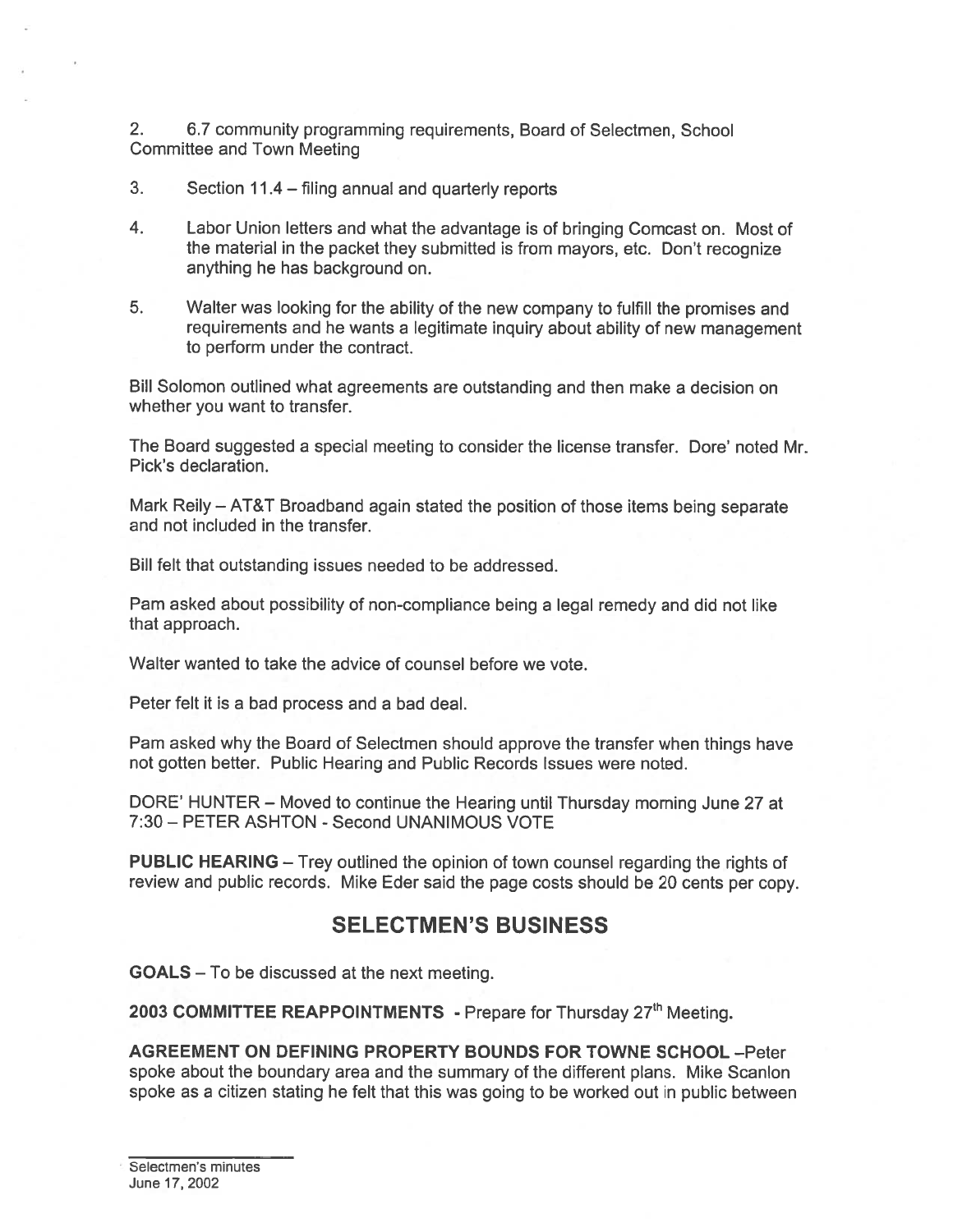2. 6.7 community programming requirements, Board of Selectmen, School Committee and Town Meeting

- 3. Section 11.4 filing annual and quarterly reports
- 4. Labor Union letters and what the advantage is of bringing Comcast on. Most of the material in the packet they submitted is from mayors, etc. Don't recognize anything he has background on.
- 5. Walter was looking for the ability of the new company to fulfill the promises and requirements and he wants <sup>a</sup> legitimate inquiry about ability of new managemen<sup>t</sup> to perform under the contract.

Bill Solomon outlined what agreements are outstanding and then make <sup>a</sup> decision on whether you want to transfer.

The Board suggested <sup>a</sup> special meeting to consider the license transfer. Dore' noted Mr. Pick's declaration.

Mark Reily — AT&T Broadband again stated the position of those items being separate and not included in the transfer.

Bill felt that outstanding issues needed to be addressed.

Pam asked about possibility of non-compliance being <sup>a</sup> legal remedy and did not like that approach.

Walter wanted to take the advice of counsel before we vote.

Peter felt it is <sup>a</sup> bad process and <sup>a</sup> bad deal.

Pam asked why the Board of Selectmen should approve the transfer when things have not gotten better. Public Hearing and Public Records Issues were noted.

DORE' HUNTER — Moved to continue the Hearing until Thursday morning June 27 at 7:30 — PETER ASHTON - Second UNANIMOUS VOTE

PUBLIC HEARING — Trey outlined the opinion of town counsel regarding the rights of review and public records. Mike Eder said the page costs should be 20 cents per copy.

# SELECTMEN'S BUSINESS

GOALS — To be discussed at the next meeting.

2003 COMMITTEE REAPPOINTMENTS - Prepare for Thursday 27<sup>th</sup> Meeting.

AGREEMENT ON DEFINING PROPERTY BOUNDS FOR TOWNE SCHOOL —Peter spoke about the boundary area and the summary of the different plans. Mike Scanlon spoke as <sup>a</sup> citizen stating he felt that this was going to be worked out in public between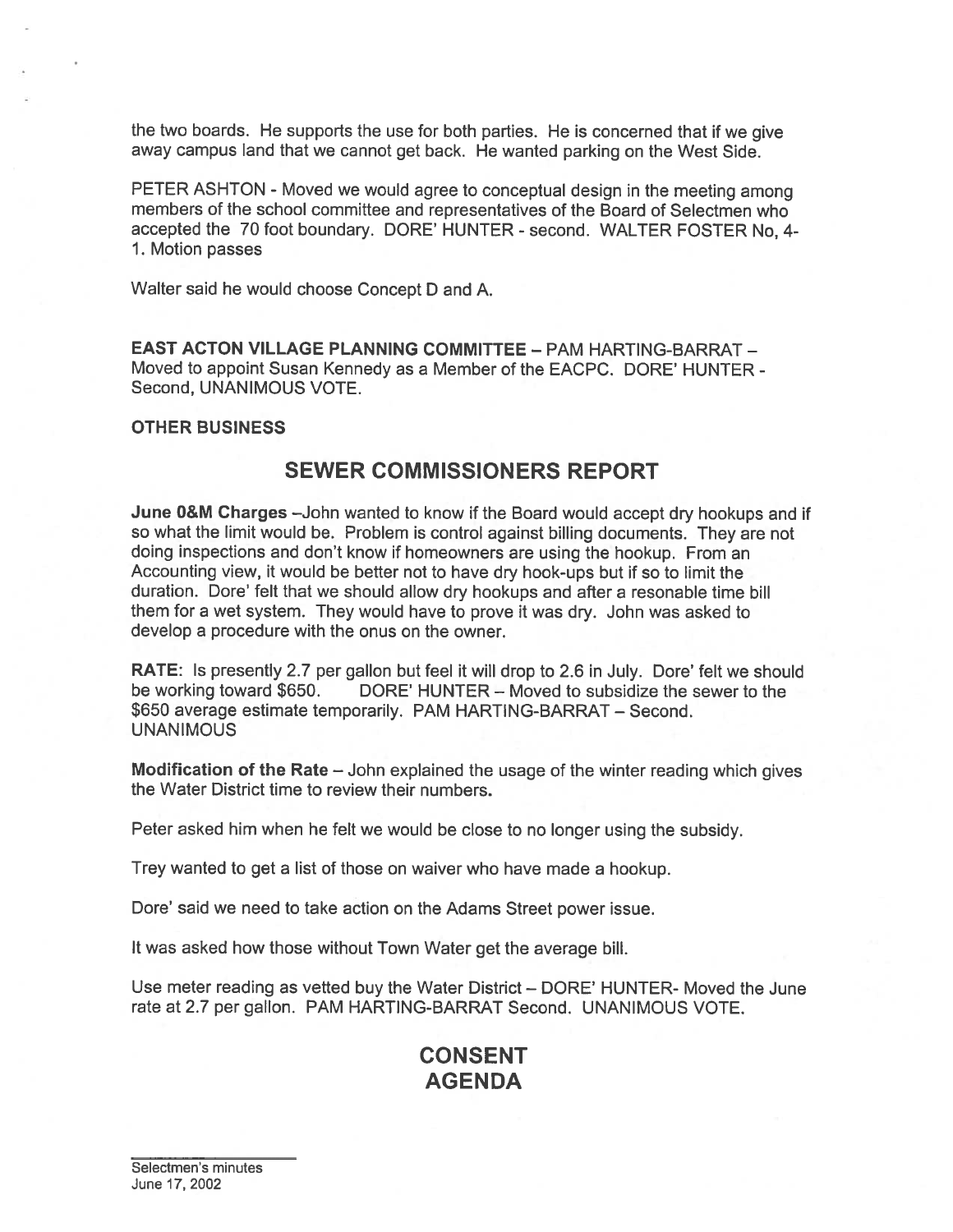the two boards. He supports the use for both parties. He is concerned that if we <sup>g</sup>ive away campus land that we cannot ge<sup>t</sup> back. He wanted parking on the West Side.

PETER ASHTON - Moved we would agree to conceptual design in the meeting among members of the school committee and representatives of the Board of Selectmen who accepted the 70 foot boundary. DORE' HUNTER -second. WALTER FOSTER No, 4- 1. Motion passes

Walter said he would choose Concept <sup>D</sup> and A.

**EAST ACTON VILLAGE PLANNING COMMITTEE - PAM HARTING-BARRAT -**Moved to appoint Susan Kennedy as <sup>a</sup> Member of the EACPC. DORE' HUNTER - Second, UNANIMOUS VOTE.

#### OTHER BUSINESS

## SEWER COMMISSIONERS REPORT

June O&M Charges —John wanted to know if the Board would accep<sup>t</sup> dry hookups and if so what the limit would be. Problem is control against billing documents. They are not doing inspections and don't know if homeowners are using the hookup. From an Accounting view, it would be better not to have dry hook-ups but if so to limit the duration. Dore' felt that we should allow dry hookups and after <sup>a</sup> resonable time bill them for <sup>a</sup> wet system. They would have to prove it was dry. John was asked to develop <sup>a</sup> procedure with the onus on the owner.

RATE: Is presently 2.7 per gallon but feel it will drop to 2.6 in July. Dore' felt we should be working toward \$650. DORE' HUNTER – Moved to subsidize the sewer to the DORE' HUNTER – Moved to subsidize the sewer to the \$650 average estimate temporarily. PAM HARTING-BARRAT — Second. **UNANIMOUS** 

Modification of the Rate — John explained the usage of the winter reading which <sup>g</sup>ives the Water District time to review their numbers.

Peter asked him when he felt we would be close to no longer using the subsidy.

Trey wanted to ge<sup>t</sup> <sup>a</sup> list of those on waiver who have made <sup>a</sup> hookup.

Dore' said we need to take action on the Adams Street power issue.

It was asked how those without Town Water ge<sup>t</sup> the average bill.

Use meter reading as vetted buy the Water District — DORE' HUNTER- Moved the June rate at 2.7 per gallon. PAM HARTING-BARRAT Second. UNANIMOUS VOTE.

# CONSENT AGENDA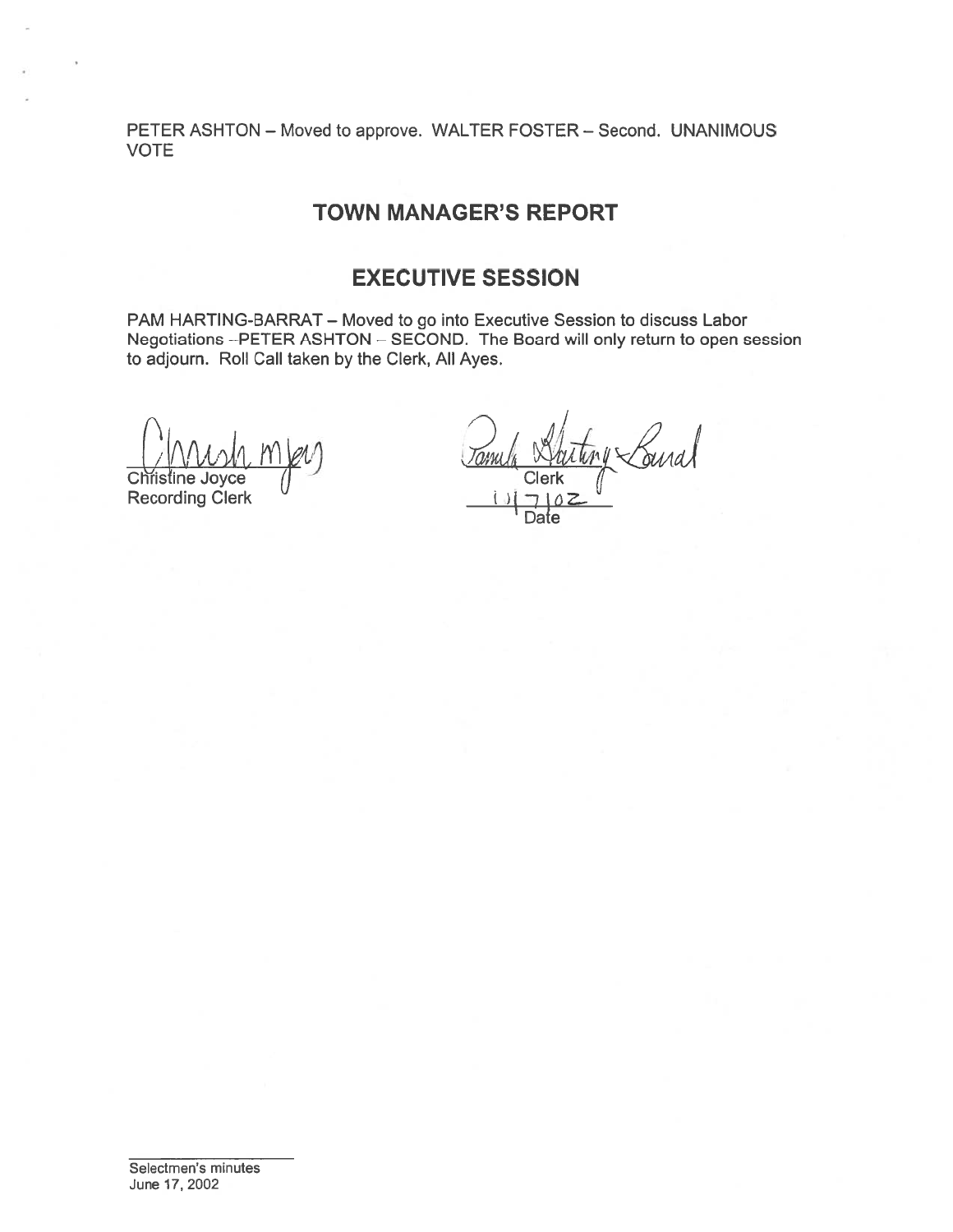PETER ASHTON — Moved to approve. WALTER FOSTER — Second. UNANIMOUS VOTE

# TOWN MANAGER'S REPORT

# EXECUTIVE SESSION

PAM HARTING-BARRAT — Moved to go into Executive Session to discuss Labor Negotiations —PETER ASHTON — SECOND. The Board will only return to open session to adjourn. Roll Call taken by the Clerk, All Ayes.

Christine Joyce Mey<br>Christine Joyce (Dun) Clerk Clerk Clerk Recording Clerk

Dafe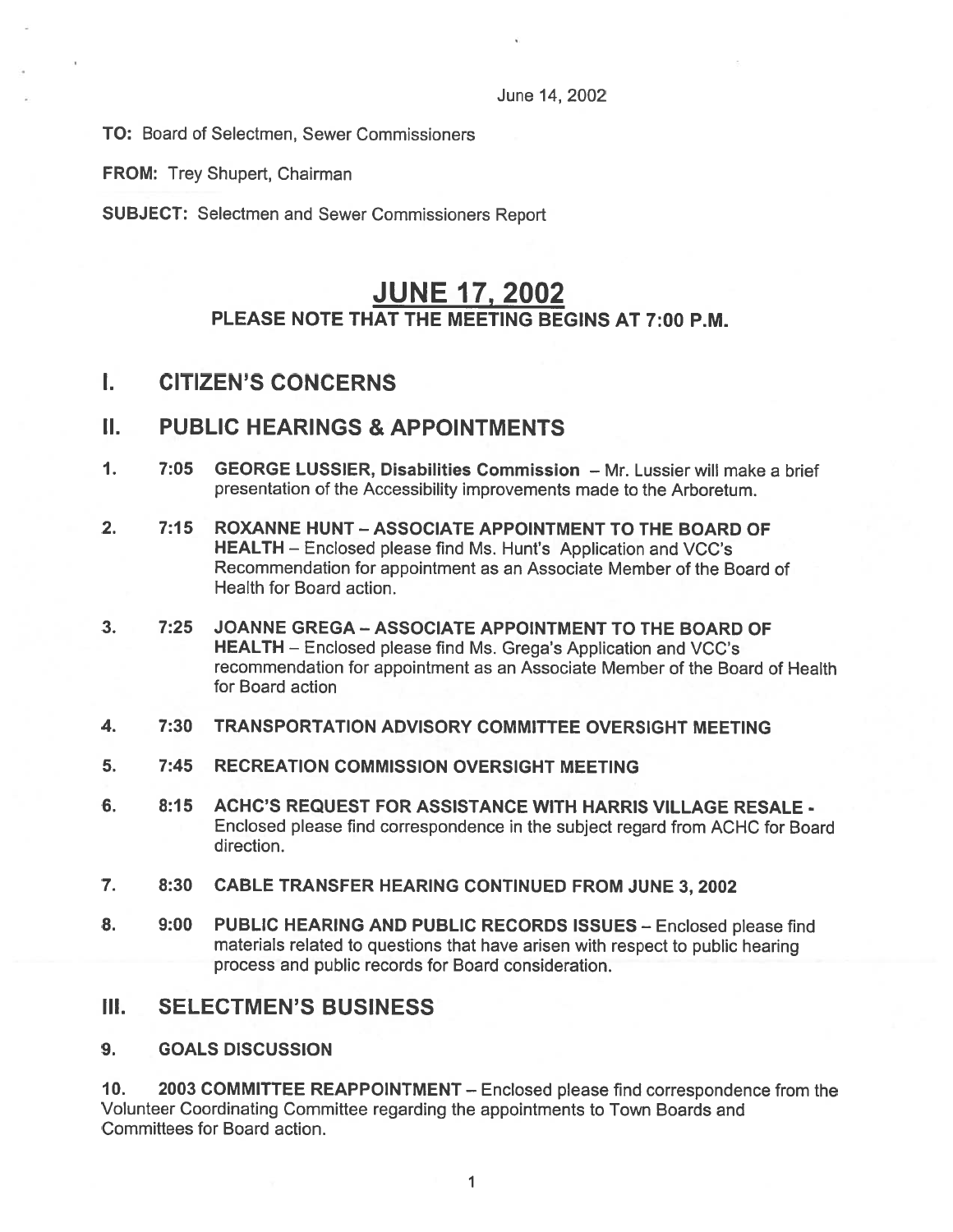#### June 14, 2002

TO: Board of Selectmen, Sewer Commissioners

FROM: Trey Shupert, Chairman

SUBJECT: Selectmen and Sewer Commissioners Report

# JUNE 17, 2002 PLEASE NOTE THAT THE MEETING BEGINS AT 7:00 P.M.

# I. CITIZEN'S CONCERNS

### II. PUBLIC HEARINGS & APPOINTMENTS

- 1. 7:05 GEORGE LUSSIER, Disabilities Commission Mr. Lussier will make <sup>a</sup> brief presentation of the Accessibility improvements made to the Arboretum.
- 2. 7:15 ROXANNE HUNT ASSOCIATE APPOINTMENT TO THE BOARD OF HEALTH — Enclosed please find Ms. Hunt's Application and VCC's Recommendation for appointment as an Associate Member of the Board of Health for Board action.
- 3. 7:25 JOANNE GREGA ASSOCIATE APPOINTMENT TO THE BOARD OF HEALTH — Enclosed please find Ms. Grega's Application and VCC's recommendation for appointment as an Associate Member of the Board of Health for Board action
- 4. 7:30 TRANSPORTATION ADVISORY COMMITTEE OVERSIGHT MEETING
- 5. 7:45 RECREATION COMMISSION OVERSIGHT MEETING
- 6. 8:15 ACHC'S REQUEST FOR ASSISTANCE WITH HARRIS VILLAGE RESALE Enclosed <sup>p</sup>lease find correspondence in the subject regard from ACHC for Board direction.
- 7. 8:30 CABLE TRANSFER HEARING CONTINUED FROM JUNE 3, 2002
- 8. 9:00 PUBLIC HEARING AND PUBLIC RECORDS ISSUES Enclosed please find materials related to questions that have arisen with respec<sup>t</sup> to public hearing process and public records for Board consideration.

# III. SELECTMEN'S BUSINESS

#### 9. GOALS DISCUSSION

10. 2003 COMMITTEE REAPPOINTMENT — Enclosed please find correspondence from the Volunteer Coordinating Committee regarding the appointments to Town Boards and Committees for Board action.

> $\mathbf{1}$ 1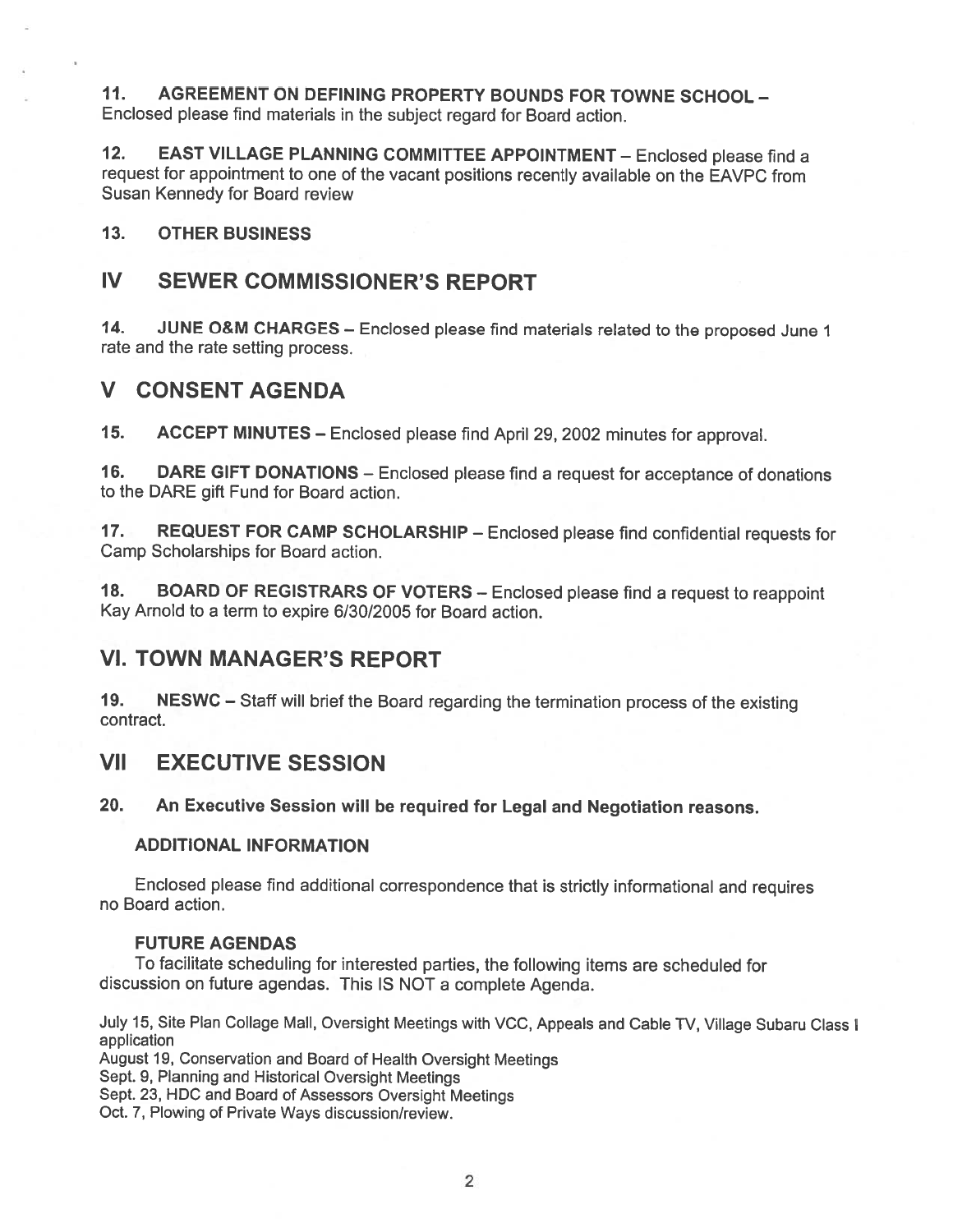11. AGREEMENT ON DEFINING PROPERTY BOUNDS FOR TOWNE SCHOOL — Enclosed <sup>p</sup>lease find materials in the subject regar<sup>d</sup> for Board action.

12. EAST VILLAGE PLANNING COMMITTEE APPOINTMENT — Enclosed <sup>p</sup>lease find <sup>a</sup> reques<sup>t</sup> for appointment to one of the vacant positions recently available on the EAVPC from Susan Kennedy for Board review

### 13. OTHER BUSINESS

# IV SEWER COMMISSIONER'S REPORT

14. JUNE O&M CHARGES — Enclosed <sup>p</sup>lease find materials related to the propose<sup>d</sup> June <sup>1</sup> rate and the rate setting process.

# V CONSENT AGENDA

15. ACCEPT MINUTES — Enclosed <sup>p</sup>lease find April 29, <sup>2002</sup> minutes for approval.

16. DARE GIFT DONATIONS — Enclosed <sup>p</sup>lease find <sup>a</sup> reques<sup>t</sup> for acceptance of donations to the DARE gift Fund for Board action.

17. REQUEST FOR CAMP SCHOLARSHIP — Enclosed <sup>p</sup>lease find confidential requests for Camp Scholarships for Board action.

18. BOARD OF REGISTRARS OF VOTERS — Enclosed <sup>p</sup>lease find <sup>a</sup> reques<sup>t</sup> to reappoint Kay Arnold to <sup>a</sup> term to expire 6/30/2005 for Board action.

### VI. TOWN MANAGER'S REPORT

19. NESWC — Staff will brief the Board regarding the termination process of the existing contract.

### VII EXECUTIVE SESSION

### 20. An Executive Session will be required for Legal and Negotiation reasons.

#### ADDITIONAL INFORMATION

Enclosed <sup>p</sup>lease find additional correspondence that is strictly informational and requires no Board action.

#### FUTURE AGENDAS

To facilitate scheduling for interested parties, the following items are scheduled for discussion on future agendas. This IS NOT <sup>a</sup> complete Agenda.

July 15, Site Plan Collage Mall, Oversight Meetings with VCC, Appeals and Cable TV, Village Subaru Class I application

August 19, Conservation and Board of Health Oversight Meetings

Sept. 9, Planning and Historical Oversight Meetings

Sept. 23, HDC and Board of Assessors Oversight Meetings

Oct. 7, Plowing of Private Ways discussion/review.